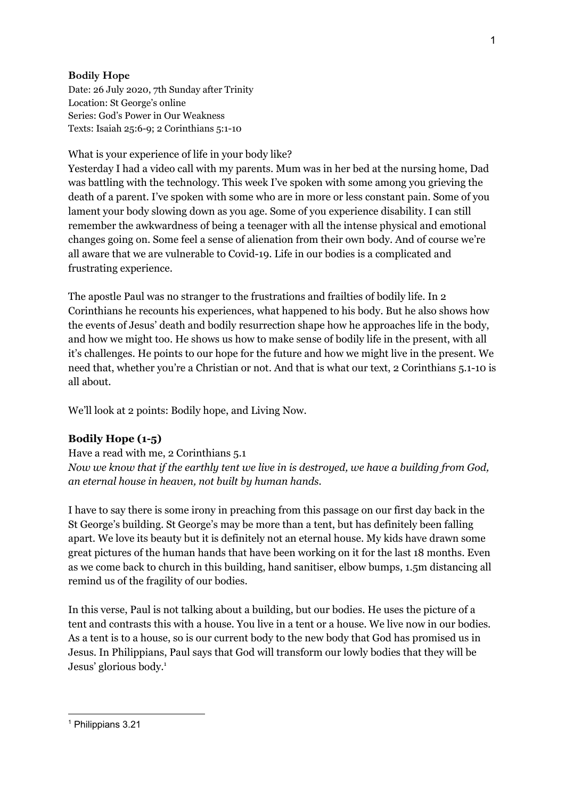### **Bodily Hope**

Date: 26 July 2020, 7th Sunday after Trinity Location: St George's online Series: God's Power in Our Weakness Texts: Isaiah 25:6-9; 2 Corinthians 5:1-10

What is your experience of life in your body like?

Yesterday I had a video call with my parents. Mum was in her bed at the nursing home, Dad was battling with the technology. This week I've spoken with some among you grieving the death of a parent. I've spoken with some who are in more or less constant pain. Some of you lament your body slowing down as you age. Some of you experience disability. I can still remember the awkwardness of being a teenager with all the intense physical and emotional changes going on. Some feel a sense of alienation from their own body. And of course we're all aware that we are vulnerable to Covid-19. Life in our bodies is a complicated and frustrating experience.

The apostle Paul was no stranger to the frustrations and frailties of bodily life. In 2 Corinthians he recounts his experiences, what happened to his body. But he also shows how the events of Jesus' death and bodily resurrection shape how he approaches life in the body, and how we might too. He shows us how to make sense of bodily life in the present, with all it's challenges. He points to our hope for the future and how we might live in the present. We need that, whether you're a Christian or not. And that is what our text, 2 Corinthians 5.1-10 is all about.

We'll look at 2 points: Bodily hope, and Living Now.

## **Bodily Hope (1-5)**

Have a read with me, 2 Corinthians 5.1 *Now we know that if the earthly tent we live in is destroyed, we have a building from God, an eternal house in heaven, not built by human hands.*

I have to say there is some irony in preaching from this passage on our first day back in the St George's building. St George's may be more than a tent, but has definitely been falling apart. We love its beauty but it is definitely not an eternal house. My kids have drawn some great pictures of the human hands that have been working on it for the last 18 months. Even as we come back to church in this building, hand sanitiser, elbow bumps, 1.5m distancing all remind us of the fragility of our bodies.

In this verse, Paul is not talking about a building, but our bodies. He uses the picture of a tent and contrasts this with a house. You live in a tent or a house. We live now in our bodies. As a tent is to a house, so is our current body to the new body that God has promised us in Jesus. In Philippians, Paul says that God will transform our lowly bodies that they will be Jesus' glorious body. 1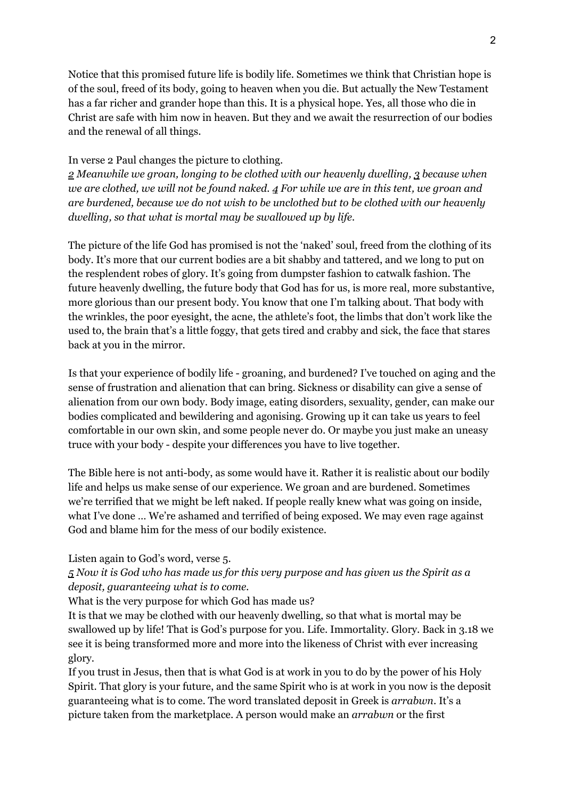Notice that this promised future life is bodily life. Sometimes we think that Christian hope is of the soul, freed of its body, going to heaven when you die. But actually the New Testament has a far richer and grander hope than this. It is a physical hope. Yes, all those who die in Christ are safe with him now in heaven. But they and we await the resurrection of our bodies and the renewal of all things.

### In verse 2 Paul changes the picture to clothing.

*2 Meanwhile we groan, longing to be clothed with our heavenly dwelling, 3 because when* we are clothed, we will not be found naked.  $4$  For while we are in this tent, we groan and *are burdened, because we do not wish to be unclothed but to be clothed with our heavenly dwelling, so that what is mortal may be swallowed up by life.*

The picture of the life God has promised is not the 'naked' soul, freed from the clothing of its body. It's more that our current bodies are a bit shabby and tattered, and we long to put on the resplendent robes of glory. It's going from dumpster fashion to catwalk fashion. The future heavenly dwelling, the future body that God has for us, is more real, more substantive, more glorious than our present body. You know that one I'm talking about. That body with the wrinkles, the poor eyesight, the acne, the athlete's foot, the limbs that don't work like the used to, the brain that's a little foggy, that gets tired and crabby and sick, the face that stares back at you in the mirror.

Is that your experience of bodily life - groaning, and burdened? I've touched on aging and the sense of frustration and alienation that can bring. Sickness or disability can give a sense of alienation from our own body. Body image, eating disorders, sexuality, gender, can make our bodies complicated and bewildering and agonising. Growing up it can take us years to feel comfortable in our own skin, and some people never do. Or maybe you just make an uneasy truce with your body - despite your differences you have to live together.

The Bible here is not anti-body, as some would have it. Rather it is realistic about our bodily life and helps us make sense of our experience. We groan and are burdened. Sometimes we're terrified that we might be left naked. If people really knew what was going on inside, what I've done … We're ashamed and terrified of being exposed. We may even rage against God and blame him for the mess of our bodily existence.

#### Listen again to God's word, verse 5.

# 5 Now it is God who has made us for this very purpose and has given us the Spirit as a *deposit, guaranteeing what is to come.*

What is the very purpose for which God has made us?

It is that we may be clothed with our heavenly dwelling, so that what is mortal may be swallowed up by life! That is God's purpose for you. Life. Immortality. Glory. Back in 3.18 we see it is being transformed more and more into the likeness of Christ with ever increasing glory.

If you trust in Jesus, then that is what God is at work in you to do by the power of his Holy Spirit. That glory is your future, and the same Spirit who is at work in you now is the deposit guaranteeing what is to come. The word translated deposit in Greek is *arrabwn*. It's a picture taken from the marketplace. A person would make an *arrabwn* or the first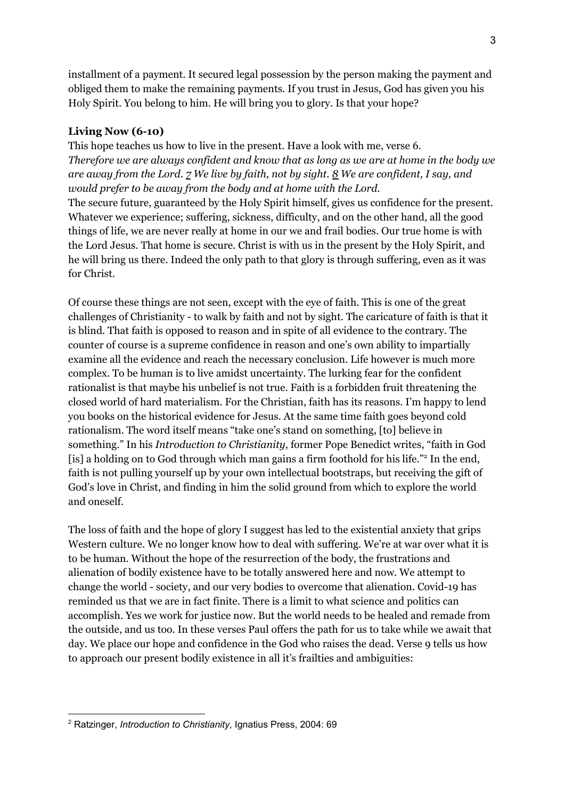installment of a payment. It secured legal possession by the person making the payment and obliged them to make the remaining payments. If you trust in Jesus, God has given you his Holy Spirit. You belong to him. He will bring you to glory. Is that your hope?

## **Living Now (6-10)**

This hope teaches us how to live in the present. Have a look with me, verse 6. *Therefore we are always confident and know that as long as we are at home in the body we* are away from the Lord.  $Z$  We live by faith, not by sight.  $\underline{8}$  We are confident, I say, and *would prefer to be away from the body and at home with the Lord.* The secure future, guaranteed by the Holy Spirit himself, gives us confidence for the present. Whatever we experience; suffering, sickness, difficulty, and on the other hand, all the good things of life, we are never really at home in our we and frail bodies. Our true home is with the Lord Jesus. That home is secure. Christ is with us in the present by the Holy Spirit, and he will bring us there. Indeed the only path to that glory is through suffering, even as it was for Christ.

Of course these things are not seen, except with the eye of faith. This is one of the great challenges of Christianity - to walk by faith and not by sight. The caricature of faith is that it is blind. That faith is opposed to reason and in spite of all evidence to the contrary. The counter of course is a supreme confidence in reason and one's own ability to impartially examine all the evidence and reach the necessary conclusion. Life however is much more complex. To be human is to live amidst uncertainty. The lurking fear for the confident rationalist is that maybe his unbelief is not true. Faith is a forbidden fruit threatening the closed world of hard materialism. For the Christian, faith has its reasons. I'm happy to lend you books on the historical evidence for Jesus. At the same time faith goes beyond cold rationalism. The word itself means "take one's stand on something, [to] believe in something." In his *Introduction to Christianity*, former Pope Benedict writes, "faith in God [is] a holding on to God through which man gains a firm foothold for his life."<sup>2</sup> In the end, faith is not pulling yourself up by your own intellectual bootstraps, but receiving the gift of God's love in Christ, and finding in him the solid ground from which to explore the world and oneself.

The loss of faith and the hope of glory I suggest has led to the existential anxiety that grips Western culture. We no longer know how to deal with suffering. We're at war over what it is to be human. Without the hope of the resurrection of the body, the frustrations and alienation of bodily existence have to be totally answered here and now. We attempt to change the world - society, and our very bodies to overcome that alienation. Covid-19 has reminded us that we are in fact finite. There is a limit to what science and politics can accomplish. Yes we work for justice now. But the world needs to be healed and remade from the outside, and us too. In these verses Paul offers the path for us to take while we await that day. We place our hope and confidence in the God who raises the dead. Verse 9 tells us how to approach our present bodily existence in all it's frailties and ambiguities:

<sup>2</sup> Ratzinger, *Introduction to Christianity*, Ignatius Press, 2004: 69